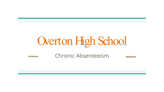# Overton High School

Chronic Absenteeism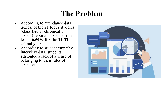## **The Problem**

- According to attendance data trends, of the 21 focus students (classified as chronically absent) reported absences of at least **46.50% for the 21-22 school year.**
- According to student empathy interview data, students attributed a lack of a sense of belonging to their rates of absenteeism.

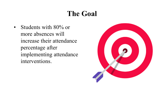### **The Goal**

• Students with 80% or more absences will increase their attendance percentage after implementing attendance interventions.

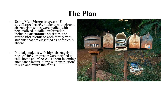### **The Plan**

- **Using Mail Merge to create 15 attendance letters,** students with chronic absenteeism status were mailed with personalized, detailed information, including **attendance statistics and attendance trends** to each family with students that are classified as chronically absent.
- In total, students with high absenteeism rates of 20% or greater were notified via<br>calls home and robo-calls about incoming<br>attendance letters, along with instructions to sign and return the forms.

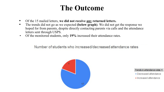#### **The Outcome**

- Of the 15 mailed letters, **we did not receive any returned letters.**
- The trends did not go as we expected **(below graph)**. We did not get the response we hoped for from parents, despite directly contacting parents via calls and the attendance letters sent through USPS.
- Of the monitored students, only **19%** increased their attendance rates.

Number of students who increased/decreased attendance rates



#### Trends in attendance rates

- · Decreased attendance
- · Increased attendance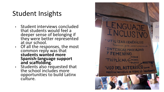### Student Insights

- Student interviews concluded that students would feel a deeper sense of belonging if they were better represented at our school.
- Of all the responses, the most common reply was that **students wanted more Spanish-language support and scaffolding**.
- Students also requested that the school includes more opportunities to build Latinx culture.

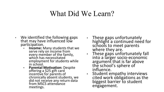#### What Did We Learn?

- $\cdot$  We identified the following gaps that may have influenced low participation.
	- **Income:** Many students that we serve rely on income from every member of the family, which has necessitated employment for students while in school.
	- **Parental Motivation: Despite** offering a \$25 gift card<br>incentive for parents of chronically absent students, we did not receive any return data from MSCS attendance meetings.
- These gaps unfortunately highlight a continued need for schools to meet parents where they are.
- These gaps unfortunately fall into a larger socio-economic argument that is far above the school's sphere of influence.
- Student empathy interviews cited work obligations as the biggest barrier to student engagement.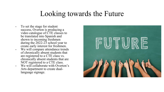#### Looking towards the Future

• To set the stage for student success, Overton is producing a video catalogue of CTE classes to be translated into Spanish and shown to incoming freshmen during the 2022-23 school year to create early interest for freshmen. • We will compare attendance trends of chronically absent students that are registered to a CTE class vs. chronically absent students that are NOT registered to a CTE class. • We will collaborate with Overton's Arts department to create dual- language signage.